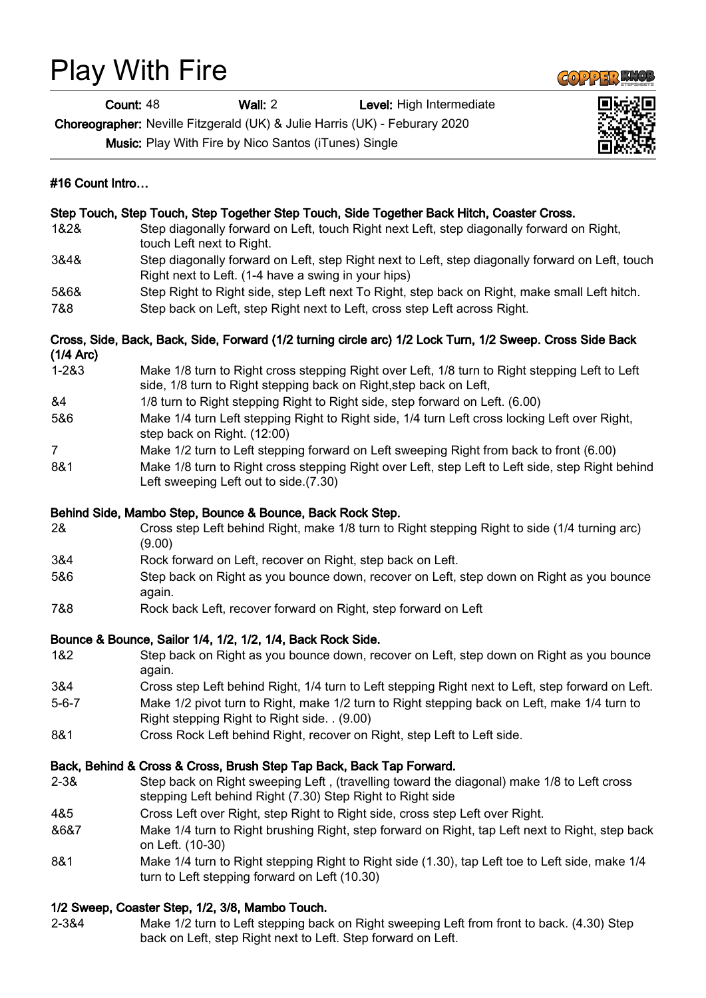## Play With Fire

Count: 48 Wall: 2 Level: High Intermediate

Choreographer: Neville Fitzgerald (UK) & Julie Harris (UK) - Feburary 2020

Music: Play With Fire by Nico Santos (iTunes) Single

| #16 Count Intro<br>Step Touch, Step Touch, Step Together Step Touch, Side Together Back Hitch, Coaster Cross. |                                                                                                                                                                      |
|---------------------------------------------------------------------------------------------------------------|----------------------------------------------------------------------------------------------------------------------------------------------------------------------|
|                                                                                                               |                                                                                                                                                                      |
| 3&4&                                                                                                          | Step diagonally forward on Left, step Right next to Left, step diagonally forward on Left, touch<br>Right next to Left. (1-4 have a swing in your hips)              |
| 5&6&                                                                                                          | Step Right to Right side, step Left next To Right, step back on Right, make small Left hitch.                                                                        |
| 7&8                                                                                                           | Step back on Left, step Right next to Left, cross step Left across Right.                                                                                            |
| $(1/4$ Arc)                                                                                                   | Cross, Side, Back, Back, Side, Forward (1/2 turning circle arc) 1/2 Lock Turn, 1/2 Sweep. Cross Side Back                                                            |
| $1 - 283$                                                                                                     | Make 1/8 turn to Right cross stepping Right over Left, 1/8 turn to Right stepping Left to Left<br>side, 1/8 turn to Right stepping back on Right, step back on Left, |
| &4                                                                                                            | 1/8 turn to Right stepping Right to Right side, step forward on Left. (6.00)                                                                                         |
| 5&6                                                                                                           | Make 1/4 turn Left stepping Right to Right side, 1/4 turn Left cross locking Left over Right,<br>step back on Right. (12:00)                                         |
| $\overline{7}$                                                                                                | Make 1/2 turn to Left stepping forward on Left sweeping Right from back to front (6.00)                                                                              |
| 8&1                                                                                                           | Make 1/8 turn to Right cross stepping Right over Left, step Left to Left side, step Right behind<br>Left sweeping Left out to side (7.30)                            |
|                                                                                                               | Behind Side, Mambo Step, Bounce & Bounce, Back Rock Step.                                                                                                            |
| 2&                                                                                                            | Cross step Left behind Right, make 1/8 turn to Right stepping Right to side (1/4 turning arc)<br>(9.00)                                                              |
| 3&4                                                                                                           | Rock forward on Left, recover on Right, step back on Left.                                                                                                           |
| 5&6                                                                                                           | Step back on Right as you bounce down, recover on Left, step down on Right as you bounce<br>again.                                                                   |
| 7&8                                                                                                           | Rock back Left, recover forward on Right, step forward on Left                                                                                                       |
|                                                                                                               | Bounce & Bounce, Sailor 1/4, 1/2, 1/2, 1/4, Back Rock Side.                                                                                                          |
| 1&2                                                                                                           | Step back on Right as you bounce down, recover on Left, step down on Right as you bounce<br>again.                                                                   |
| 3&4                                                                                                           | Cross step Left behind Right, 1/4 turn to Left stepping Right next to Left, step forward on Left.                                                                    |
| $5 - 6 - 7$                                                                                                   | Make 1/2 pivot turn to Right, make 1/2 turn to Right stepping back on Left, make 1/4 turn to<br>Right stepping Right to Right side. . (9.00)                         |
| 8&1                                                                                                           | Cross Rock Left behind Right, recover on Right, step Left to Left side.                                                                                              |
|                                                                                                               | Back, Behind & Cross & Cross, Brush Step Tap Back, Back Tap Forward.                                                                                                 |
| $2 - 38$                                                                                                      | Step back on Right sweeping Left, (travelling toward the diagonal) make 1/8 to Left cross<br>stepping Left behind Right (7.30) Step Right to Right side              |
| 4&5                                                                                                           | Cross Left over Right, step Right to Right side, cross step Left over Right.                                                                                         |
| &6&7                                                                                                          | Make 1/4 turn to Right brushing Right, step forward on Right, tap Left next to Right, step back<br>on Left. (10-30)                                                  |
| 8&1                                                                                                           | Make 1/4 turn to Right stepping Right to Right side (1.30), tap Left toe to Left side, make 1/4<br>turn to Left stepping forward on Left (10.30)                     |
|                                                                                                               | 1/2 Sweep, Coaster Step, 1/2, 3/8, Mambo Touch.                                                                                                                      |
| 2-3&4                                                                                                         | Make 1/2 turn to Left stepping back on Right sweeping Left from front to back. (4.30) Step<br>back on Left, step Right next to Left. Step forward on Left.           |